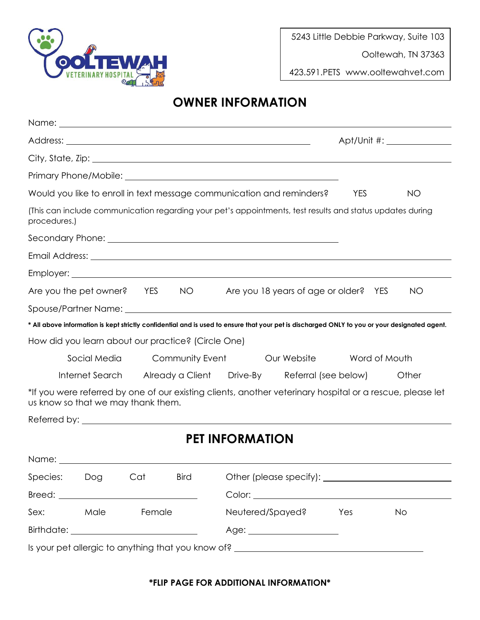

5243 Little Debbie Parkway, Suite 103

Ooltewah, TN 37363

423.591.PETS www.ooltewahvet.com

## **OWNER INFORMATION**

|                                                                       |      |        |                                                        | Name: <u>2000 - 2000 - 2000 - 2000 - 2000 - 2000 - 2000 - 2000 - 2000 - 2000 - 2000 - 2000 - 2000 - 2000 - 2000 - 2000 - 2000 - 2000 - 2000 - 2000 - 2000 - 2000 - 2000 - 2000 - 2000 - 2000 - 2000 - 2000 - 2000 - 2000 - 2000 </u> |                  |            |           |           |
|-----------------------------------------------------------------------|------|--------|--------------------------------------------------------|--------------------------------------------------------------------------------------------------------------------------------------------------------------------------------------------------------------------------------------|------------------|------------|-----------|-----------|
|                                                                       |      |        |                                                        |                                                                                                                                                                                                                                      |                  |            |           |           |
|                                                                       |      |        |                                                        | City, State, Zip: 2004. City, State, Zip: 2006. City, State, Zip: 2006. City, State, Zip: 2006. City, State, Zip: 2006. City, 2006. City, 2006. City, 2006. City, 2006. City, 2006. City, 2006. City, 2006. City, 2006. City,        |                  |            |           |           |
|                                                                       |      |        |                                                        |                                                                                                                                                                                                                                      |                  |            |           |           |
| Would you like to enroll in text message communication and reminders? |      |        |                                                        |                                                                                                                                                                                                                                      |                  | <b>YES</b> |           | <b>NO</b> |
| procedures.)                                                          |      |        |                                                        | (This can include communication regarding your pet's appointments, test results and status updates during                                                                                                                            |                  |            |           |           |
|                                                                       |      |        |                                                        |                                                                                                                                                                                                                                      |                  |            |           |           |
|                                                                       |      |        |                                                        |                                                                                                                                                                                                                                      |                  |            |           |           |
|                                                                       |      |        |                                                        |                                                                                                                                                                                                                                      |                  |            |           |           |
| Are you the pet owner? YES                                            |      |        |                                                        | NO Are you 18 years of age or older? YES                                                                                                                                                                                             |                  |            |           | <b>NO</b> |
|                                                                       |      |        |                                                        | Spouse/Partner Name: www.astronomer.com/www.astronomer.com/www.astronomer.com/www.astronomer.com/www                                                                                                                                 |                  |            |           |           |
|                                                                       |      |        |                                                        | * All above information is kept strictly confidential and is used to ensure that your pet is discharged ONLY to you or your designated agent.                                                                                        |                  |            |           |           |
|                                                                       |      |        | How did you learn about our practice? (Circle One)     |                                                                                                                                                                                                                                      |                  |            |           |           |
|                                                                       |      |        | Social Media Community Event Our Website Word of Mouth |                                                                                                                                                                                                                                      |                  |            |           |           |
|                                                                       |      |        |                                                        | Internet Search Already a Client Drive-By Referral (see below)                                                                                                                                                                       |                  |            |           | Other     |
| us know so that we may thank them.                                    |      |        |                                                        | *If you were referred by one of our existing clients, another veterinary hospital or a rescue, please let                                                                                                                            |                  |            |           |           |
|                                                                       |      |        |                                                        |                                                                                                                                                                                                                                      |                  |            |           |           |
| <b>PET INFORMATION</b>                                                |      |        |                                                        |                                                                                                                                                                                                                                      |                  |            |           |           |
|                                                                       |      |        |                                                        | Name: Name and the second contract of the second contract of the second contract of the second contract of the second contract of the second contract of the second contract of the second contract of the second contract of        |                  |            |           |           |
| Species:                                                              | Dog  | Cat    | Bird                                                   |                                                                                                                                                                                                                                      |                  |            |           |           |
|                                                                       |      |        |                                                        |                                                                                                                                                                                                                                      |                  |            |           |           |
| Sex:                                                                  | Male | Female |                                                        |                                                                                                                                                                                                                                      | Neutered/Spayed? | Yes        | <b>No</b> |           |
|                                                                       |      |        |                                                        |                                                                                                                                                                                                                                      |                  |            |           |           |
|                                                                       |      |        |                                                        | Is your pet allergic to anything that you know of? ______________________________                                                                                                                                                    |                  |            |           |           |

**\*FLIP PAGE FOR ADDITIONAL INFORMATION\***